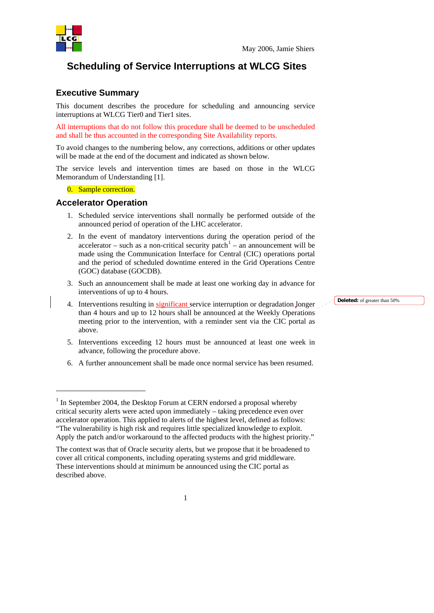

-

## **Scheduling of Service Interruptions at WLCG Sites**

### **Executive Summary**

This document describes the procedure for scheduling and announcing service interruptions at WLCG Tier0 and Tier1 sites.

All interruptions that do not follow this procedure shall be deemed to be unscheduled and shall be thus accounted in the corresponding Site Availability reports.

To avoid changes to the numbering below, any corrections, additions or other updates will be made at the end of the document and indicated as shown below.

The service levels and intervention times are based on those in the WLCG Memorandum of Understanding [1].

0. Sample correction.

#### **Accelerator Operation**

- 1. Scheduled service interventions shall normally be performed outside of the announced period of operation of the LHC accelerator.
- 2. In the event of mandatory interventions during the operation period of the  $accelerator$  – such as a non-critical security patch<sup>[1](#page-0-0)</sup> – an announcement will be made using the Communication Interface for Central (CIC) operations portal and the period of scheduled downtime entered in the Grid Operations Centre (GOC) database (GOCDB).
- 3. Such an announcement shall be made at least one working day in advance for interventions of up to 4 hours.
- 4. Interventions resulting in significant service interruption or degradation longer than 4 hours and up to 12 hours shall be announced at the Weekly Operations meeting prior to the intervention, with a reminder sent via the CIC portal as above.
- 5. Interventions exceeding 12 hours must be announced at least one week in advance, following the procedure above.
- 6. A further announcement shall be made once normal service has been resumed.

**Deleted:** of greater than 50%

<sup>&</sup>lt;sup>1</sup> In September 2004, the Desktop Forum at CERN endorsed a proposal whereby critical security alerts were acted upon immediately – taking precedence even over accelerator operation. This applied to alerts of the highest level, defined as follows: "The vulnerability is high risk and requires little specialized knowledge to exploit. Apply the patch and/or workaround to the affected products with the highest priority."

<span id="page-0-0"></span>The context was that of Oracle security alerts, but we propose that it be broadened to cover all critical components, including operating systems and grid middleware. These interventions should at minimum be announced using the CIC portal as described above.